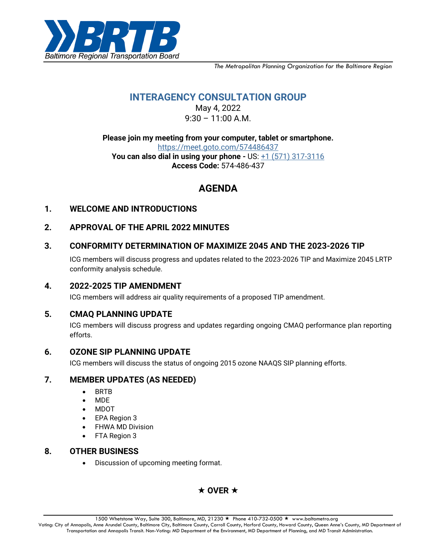

*The Metropolitan Planning Organization for the Baltimore Region*

# **INTERAGENCY CONSULTATION GROUP**

May 4, 2022  $9:30 - 11:00$  A.M.

**Please join my meeting from your computer, tablet or smartphone.**  <https://meet.goto.com/574486437> **You can also dial in using your phone -** US[: +1 \(571\) 317-3116](tel:+15713173116,,574486437) **Access Code:** 574-486-437

# **AGENDA**

#### **1. WELCOME AND INTRODUCTIONS**

## **2. APPROVAL OF THE APRIL 2022 MINUTES**

### **3. CONFORMITY DETERMINATION OF MAXIMIZE 2045 AND THE 2023-2026 TIP**

ICG members will discuss progress and updates related to the 2023-2026 TIP and Maximize 2045 LRTP conformity analysis schedule.

#### **4. 2022-2025 TIP AMENDMENT**

ICG members will address air quality requirements of a proposed TIP amendment.

#### **5. CMAQ PLANNING UPDATE**

ICG members will discuss progress and updates regarding ongoing CMAQ performance plan reporting efforts.

#### **6. OZONE SIP PLANNING UPDATE**

ICG members will discuss the status of ongoing 2015 ozone NAAQS SIP planning efforts.

## **7. MEMBER UPDATES (AS NEEDED)**

- BRTB
- MDE
- MDOT
- EPA Region 3
- FHWA MD Division
- FTA Region 3

#### **8. OTHER BUSINESS**

• Discussion of upcoming meeting format.

# $\star$  OVER  $\star$

1500 Whetstone Way, Suite 300, Baltimore, MD, 21230 ★ Phone 410-732-0500 ★ www.baltometro.org Voting: City of Annapolis, Anne Arundel County, Baltimore City, Baltimore County, Carroll County, Harford County, Howard County, Queen Anne's County, MD Department of Transportation and Annapolis Transit. Non-Voting: MD Department of the Environment, MD Department of Planning, and MD Transit Administration.